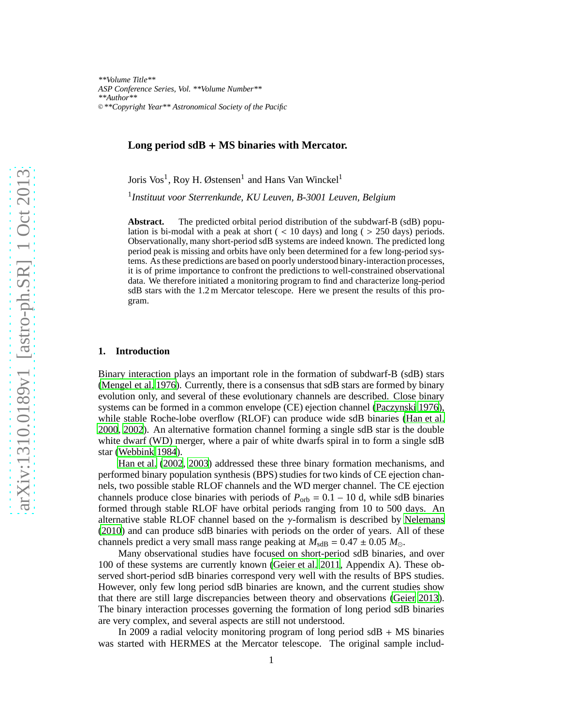*\*\*Volume Title\*\* ASP Conference Series, Vol. \*\*Volume Number\*\* \*\*Author\*\** <sup>c</sup> *\*\*Copyright Year\*\* Astronomical Society of the Pacific*

## **Long period sdB** + **MS binaries with Mercator.**

Joris Vos<sup>1</sup>, Roy H. Østensen<sup>1</sup> and Hans Van Winckel<sup>1</sup>

1 *Instituut voor Sterrenkunde, KU Leuven, B-3001 Leuven, Belgium*

**Abstract.** The predicted orbital period distribution of the subdwarf-B (sdB) population is bi-modal with a peak at short  $($  < 10 days) and long  $($  > 250 days) periods. Observationally, many short-period sdB systems are indeed known. The predicted long period peak is missing and orbits have only been determined for a few long-period systems. As these predictions are based on poorly understood binary-interaction processes, it is of prime importance to confront the predictions to well-constrained observational data. We therefore initiated a monitoring program to find and characterize long-period sdB stars with the 1.2 m Mercator telescope. Here we present the results of this program.

#### **1. Introduction**

Binary interaction plays an important role in the formation of subdwarf-B (sdB) stars [\(Mengel et al. 1976](#page-6-0)). Currently, there is a consensus that sdB stars are formed by binary evolution only, and several of these evolutionary channels are described. Close binary systems can be formed in a common envelope (CE) ejection channel [\(Paczynski 1976\)](#page-6-1), while stable Roche-lobe overflow (RLOF) can produce wide sdB binaries [\(Han et al.](#page-6-2) [2000](#page-6-2), [2002](#page-6-3)). An alternative formation channel forming a single sdB star is the double white dwarf (WD) merger, where a pair of white dwarfs spiral in to form a single sdB star [\(Webbink 1984](#page-6-4)).

[Han et al. \(2002,](#page-6-3) [2003\)](#page-6-5) addressed these three binary formation mechanisms, and performed binary population synthesis (BPS) studies for two kinds of CE ejection channels, two possible stable RLOF channels and the WD merger channel. The CE ejection channels produce close binaries with periods of  $P_{\text{orb}} = 0.1 - 10$  d, while sdB binaries formed through stable RLOF have orbital periods ranging from 10 to 500 days. An alternative stable RLOF channel based on the γ-formalism is described by [Nelemans](#page-6-6) [\(2010](#page-6-6)) and can produce sdB binaries with periods on the order of years. All of these channels predict a very small mass range peaking at  $M_{\text{sdB}} = 0.47 \pm 0.05$   $M_{\odot}$ .

Many observational studies have focused on short-period sdB binaries, and over 100 of these systems are currently known [\(Geier et al. 2011](#page-6-7), Appendix A). These observed short-period sdB binaries correspond very well with the results of BPS studies. However, only few long period sdB binaries are known, and the current studies show that there are still large discrepancies between theory and observations [\(Geier 2013\)](#page-6-8). The binary interaction processes governing the formation of long period sdB binaries are very complex, and several aspects are still not understood.

In 2009 a radial velocity monitoring program of long period  $\text{sdB} + \text{MS}$  binaries was started with HERMES at the Mercator telescope. The original sample includ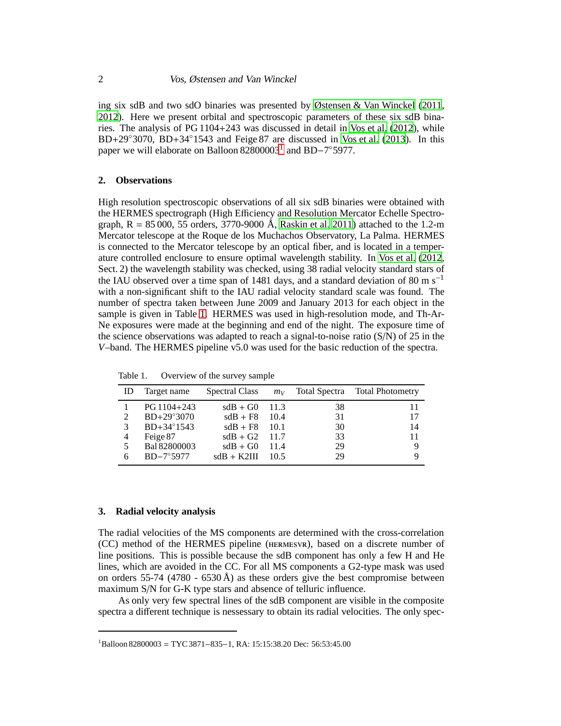ing six sdB and two sdO binaries was presented by [Østensen & Van Winckel](#page-6-9) [\(2011](#page-6-9), [2012](#page-6-10)). Here we present orbital and spectroscopic parameters of these six sdB binaries. The analysis of PG 1104+243 was discussed in detail in [Vos et al. \(2012](#page-6-11)), while BD+29◦3070, BD+34◦1543 and Feige 87 are discussed in [Vos et al. \(2013\)](#page-6-12). In this paper we will elaborate on Balloon 82800003<sup>[1](#page-1-0)</sup> and BD−7°5977.

# **2. Observations**

High resolution spectroscopic observations of all six sdB binaries were obtained with the HERMES spectrograph (High Efficiency and Resolution Mercator Echelle Spectrograph,  $R = 85,000$ , 55 orders, 3770-9000 Å, [Raskin et al. 2011\)](#page-6-13) attached to the 1.2-m Mercator telescope at the Roque de los Muchachos Observatory, La Palma. HERMES is connected to the Mercator telescope by an optical fiber, and is located in a temperature controlled enclosure to ensure optimal wavelength stability. In [Vos et al.](#page-6-11) [\(2012](#page-6-11), Sect. 2) the wavelength stability was checked, using 38 radial velocity standard stars of the IAU observed over a time span of 1481 days, and a standard deviation of 80 m s<sup>−1</sup> with a non-significant shift to the IAU radial velocity standard scale was found. The number of spectra taken between June 2009 and January 2013 for each object in the sample is given in Table [1.](#page-1-1) HERMES was used in high-resolution mode, and Th-Ar-Ne exposures were made at the beginning and end of the night. The exposure time of the science observations was adapted to reach a signal-to-noise ratio  $(S/N)$  of 25 in the *V*–band. The HERMES pipeline v5.0 was used for the basic reduction of the spectra.

| Table 1. |  | Overview of the survey sample |  |
|----------|--|-------------------------------|--|
|----------|--|-------------------------------|--|

<span id="page-1-1"></span>

| ID | Target name         | Spectral Class  |         |    | $m_V$ Total Spectra Total Photometry |
|----|---------------------|-----------------|---------|----|--------------------------------------|
|    | $PG 1104 + 243$     | $sdB + G0$ 11.3 |         | 38 | 11                                   |
| 2  | $BD+29°3070$        | $sdB + F8$      | -10.4   | 31 | 17                                   |
| 3  | $BD+34^{\circ}1543$ | $sdB + F8$      | $-10.1$ | 30 | 14                                   |
| 4  | Feige 87            | $sdB + G2$ 11.7 |         | 33 | 11                                   |
| 5. | Bal 82800003        | $sdB + GO$      | $-11.4$ | 29 |                                      |
| 6  | $BD-7°5977$         | $sdB + K2III$   | -10.5   | 29 |                                      |

## **3. Radial velocity analysis**

The radial velocities of the MS components are determined with the cross-correlation (CC) method of the HERMES pipeline (hermesvr), based on a discrete number of line positions. This is possible because the sdB component has only a few H and He lines, which are avoided in the CC. For all MS components a G2-type mask was used on orders 55-74 (4780 - 6530 Å) as these orders give the best compromise between maximum S/N for G-K type stars and absence of telluric influence.

As only very few spectral lines of the sdB component are visible in the composite spectra a different technique is nessessary to obtain its radial velocities. The only spec-

<span id="page-1-0"></span><sup>1</sup>Balloon 82800003 = TYC 3871−835−1, RA: 15:15:38.20 Dec: 56:53:45.00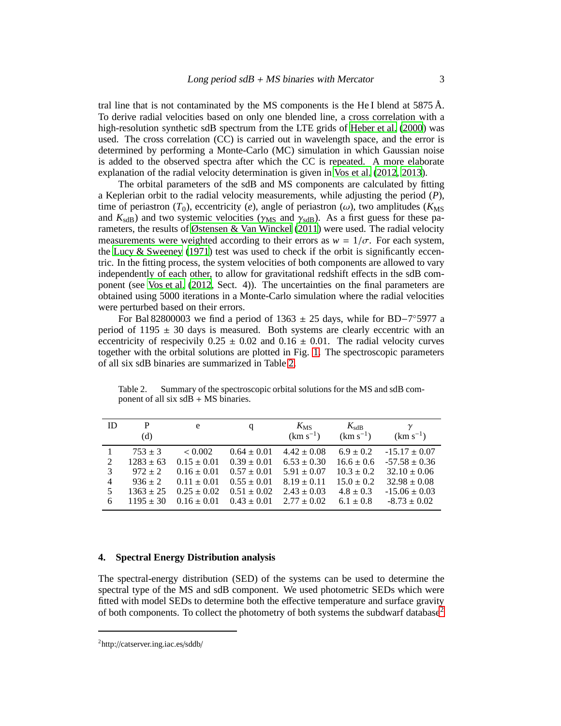tral line that is not contaminated by the MS components is the He I blend at 5875 Å. To derive radial velocities based on only one blended line, a cross correlation with a high-resolution synthetic sdB spectrum from the LTE grids of [Heber et al.](#page-6-14) [\(2000](#page-6-14)) was used. The cross correlation (CC) is carried out in wavelength space, and the error is determined by performing a Monte-Carlo (MC) simulation in which Gaussian noise is added to the observed spectra after which the CC is repeated. A more elaborate explanation of the radial velocity determination is given in [Vos et al. \(2012](#page-6-11), [2013](#page-6-12)).

The orbital parameters of the sdB and MS components are calculated by fitting a Keplerian orbit to the radial velocity measurements, while adjusting the period (*P*), time of periastron  $(T_0)$ , eccentricity (*e*), angle of periastron ( $\omega$ ), two amplitudes ( $K_{\text{MS}}$ ) and  $K_{\text{sdB}}$ ) and two systemic velocities ( $\gamma_{\text{MS}}$  and  $\gamma_{\text{sdB}}$ ). As a first guess for these parameters, the results of [Østensen & Van Winckel \(2011](#page-6-9)) were used. The radial velocity measurements were weighted according to their errors as  $w = 1/\sigma$ . For each system, the Lucy  $\&$  Sweeney (1971) test was used to check if the orbit is significantly eccentric. In the fitting process, the system velocities of both components are allowed to vary independently of each other, to allow for gravitational redshift effects in the sdB component (see [Vos et al. \(2012,](#page-6-11) Sect. 4)). The uncertainties on the final parameters are obtained using 5000 iterations in a Monte-Carlo simulation where the radial velocities were perturbed based on their errors.

For Bal 82800003 we find a period of  $1363 \pm 25$  days, while for BD-7°5977 a period of 1195  $\pm$  30 days is measured. Both systems are clearly eccentric with an eccentricity of respecivily  $0.25 \pm 0.02$  and  $0.16 \pm 0.01$ . The radial velocity curves together with the orbital solutions are plotted in Fig. [1.](#page-3-0) The spectroscopic parameters of all six sdB binaries are summarized in Table [2.](#page-2-0)

| ID                    | P<br>(d)                                                                                   | e                                                                                                      | q                                                                                                              | $K_{\rm MS}$<br>$(km s^{-1})$                                                                                | $K_{\rm sdB}$<br>$(km s^{-1})$                                                                      | $\gamma$<br>$(km s^{-1})$                                                                                               |
|-----------------------|--------------------------------------------------------------------------------------------|--------------------------------------------------------------------------------------------------------|----------------------------------------------------------------------------------------------------------------|--------------------------------------------------------------------------------------------------------------|-----------------------------------------------------------------------------------------------------|-------------------------------------------------------------------------------------------------------------------------|
| 2<br>3<br>4<br>5<br>6 | $753 \pm 3$<br>$1283 \pm 63$<br>$972 \pm 2$<br>$936 \pm 2$<br>$1363 \pm 25$<br>$1195 + 30$ | < 0.002<br>$0.15 \pm 0.01$<br>$0.16 \pm 0.01$<br>$0.11 \pm 0.01$<br>$0.25 \pm 0.02$<br>$0.16 \pm 0.01$ | $0.64 \pm 0.01$<br>$0.39 \pm 0.01$<br>$0.57 \pm 0.01$<br>$0.55 \pm 0.01$<br>$0.51 \pm 0.02$<br>$0.43 \pm 0.01$ | $4.42 \pm 0.08$<br>$6.53 \pm 0.30$<br>$5.91 \pm 0.07$<br>$8.19 \pm 0.11$<br>$2.43 \pm 0.03$<br>$2.77 + 0.02$ | $6.9 \pm 0.2$<br>$16.6 \pm 0.6$<br>$10.3 \pm 0.2$<br>$15.0 \pm 0.2$<br>$4.8 \pm 0.3$<br>$6.1 + 0.8$ | $-15.17 \pm 0.07$<br>$-57.58 \pm 0.36$<br>$32.10 \pm 0.06$<br>$32.98 \pm 0.08$<br>$-15.06 \pm 0.03$<br>$-8.73 \pm 0.02$ |

<span id="page-2-0"></span>Table 2. Summary of the spectroscopic orbital solutions for the MS and sdB component of all six  $sdB + MS$  binaries.

# **4. Spectral Energy Distribution analysis**

The spectral-energy distribution (SED) of the systems can be used to determine the spectral type of the MS and sdB component. We used photometric SEDs which were fitted with model SEDs to determine both the effective temperature and surface gravity of both components. To collect the photometry of both systems the subdwarf database<sup>[2](#page-2-1)</sup>

<span id="page-2-1"></span><sup>2</sup>http://catserver.ing.iac.es/sddb/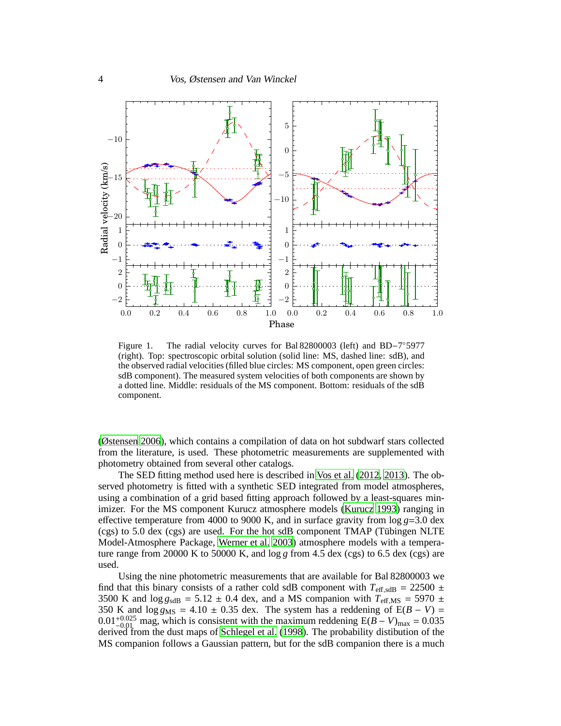

<span id="page-3-0"></span>Figure 1. The radial velocity curves for Bal 82800003 (left) and BD−7 ◦5977 (right). Top: spectroscopic orbital solution (solid line: MS, dashed line: sdB), and the observed radial velocities (filled blue circles: MS component, open green circles: sdB component). The measured system velocities of both components are shown by a dotted line. Middle: residuals of the MS component. Bottom: residuals of the sdB component.

[\(Østensen 2006](#page-6-16)), which contains a compilation of data on hot subdwarf stars collected from the literature, is used. These photometric measurements are supplemented with photometry obtained from several other catalogs.

The SED fitting method used here is described in [Vos et al. \(2012](#page-6-11), [2013](#page-6-12)). The observed photometry is fitted with a synthetic SED integrated from model atmospheres, using a combination of a grid based fitting approach followed by a least-squares minimizer. For the MS component Kurucz atmosphere models [\(Kurucz 1993](#page-6-17)) ranging in effective temperature from 4000 to 9000 K, and in surface gravity from log *g*=3.0 dex  $(cgs)$  to 5.0 dex  $(cgs)$  are used. For the hot sdB component TMAP (Tübingen NLTE Model-Atmosphere Package, [Werner et al. 2003](#page-6-18)) atmosphere models with a temperature range from  $20000 \text{ K}$  to  $50000 \text{ K}$ , and  $\log g$  from 4.5 dex (cgs) to 6.5 dex (cgs) are used.

Using the nine photometric measurements that are available for Bal 82800003 we find that this binary consists of a rather cold sdB component with  $T_{\text{eff,sdB}} = 22500 \pm 1000$ 3500 K and  $\log g_{sdB} = 5.12 \pm 0.4$  dex, and a MS companion with  $T_{\text{eff,MS}} = 5970 \pm 0.4$ 350 K and  $\log g_{\text{MS}} = 4.10 \pm 0.35$  dex. The system has a reddening of  $E(B - V) =$  $0.01_{-0.01}^{+0.025}$  mag, which is consistent with the maximum reddening  $E(B - V)_{\text{max}} = 0.035$ derived from the dust maps of [Schlegel et al.](#page-6-19) [\(1998](#page-6-19)). The probability distibution of the MS companion follows a Gaussian pattern, but for the sdB companion there is a much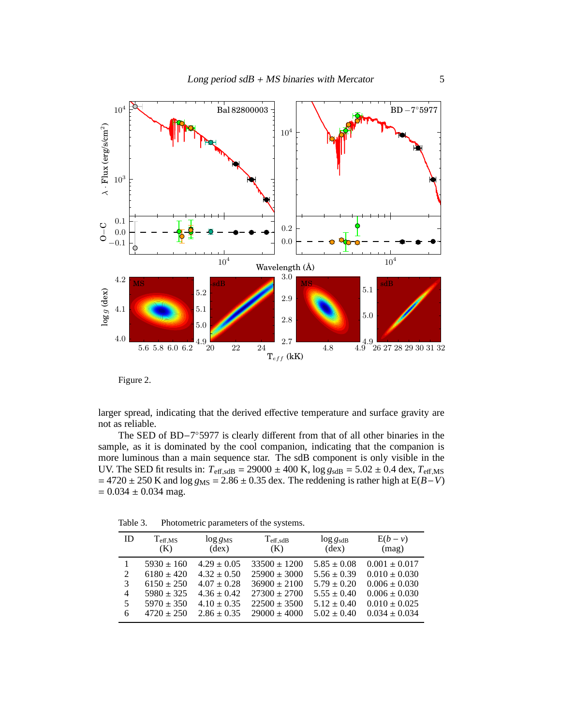



larger spread, indicating that the derived effective temperature and surface gravity are not as reliable.

The SED of BD-7°5977 is clearly different from that of all other binaries in the sample, as it is dominated by the cool companion, indicating that the companion is more luminous than a main sequence star. The sdB component is only visible in the UV. The SED fit results in:  $T_{\text{eff,sdB}} = 29000 \pm 400 \text{ K}$ ,  $\log g_{\text{sdB}} = 5.02 \pm 0.4 \text{ dex}$ ,  $T_{\text{eff,MS}}$  $= 4720 \pm 250$  K and  $\log g_{\text{MS}} = 2.86 \pm 0.35$  dex. The reddening is rather high at E(*B*−*V*)  $= 0.034 \pm 0.034$  mag.

| ID                          | $\rm T_{eff,MS}$<br>(K) | $\log g_{\rm MS}$<br>(dex) | $T_{\text{eff,sdB}}$<br>(K) | $\log g_{\rm sdB}$<br>$(\text{dex})$ | $E(b - v)$<br>(mag) |
|-----------------------------|-------------------------|----------------------------|-----------------------------|--------------------------------------|---------------------|
|                             | $5930 \pm 160$          | $4.29 \pm 0.05$            | $33500 \pm 1200$            | $5.85 \pm 0.08$                      | $0.001 \pm 0.017$   |
| $\mathcal{D}_{\mathcal{L}}$ | $6180 \pm 420$          | $4.32 \pm 0.50$            | $25900 \pm 3000$            | $5.56 \pm 0.39$                      | $0.010 \pm 0.030$   |
| 3                           | $6150 \pm 250$          | $4.07 \pm 0.28$            | $36900 \pm 2100$            | $5.79 \pm 0.20$                      | $0.006 \pm 0.030$   |
| 4                           | $5980 \pm 325$          | $4.36 \pm 0.42$            | $27300 \pm 2700$            | $5.55 \pm 0.40$                      | $0.006 \pm 0.030$   |
| 5.                          | $5970 \pm 350$          | $4.10 \pm 0.35$            | $22500 \pm 3500$            | $5.12 \pm 0.40$                      | $0.010 \pm 0.025$   |
| 6                           | $4720 + 250$            | $2.86 + 0.35$              | $29000 \pm 4000$            | $5.02 + 0.40$                        | $0.034 \pm 0.034$   |

Table 3. Photometric parameters of the systems.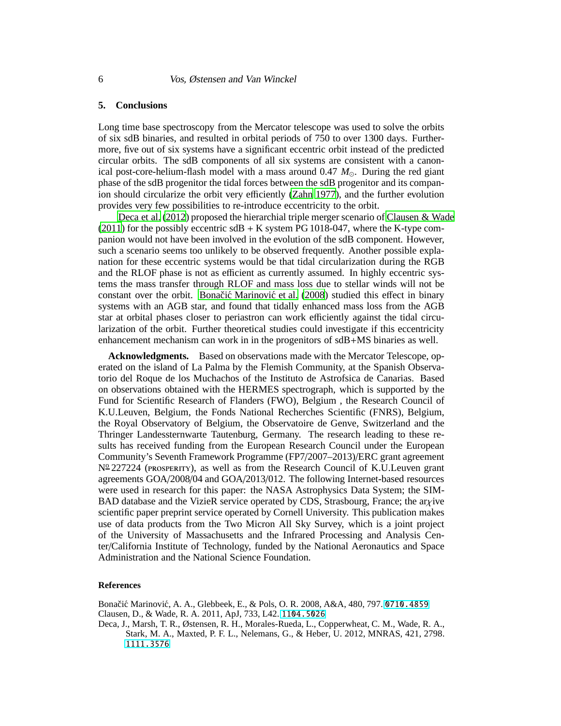## **5. Conclusions**

Long time base spectroscopy from the Mercator telescope was used to solve the orbits of six sdB binaries, and resulted in orbital periods of 750 to over 1300 days. Furthermore, five out of six systems have a significant eccentric orbit instead of the predicted circular orbits. The sdB components of all six systems are consistent with a canonical post-core-helium-flash model with a mass around  $0.47 M_{\odot}$ . During the red giant phase of the sdB progenitor the tidal forces between the sdB progenitor and its companion should circularize the orbit very efficiently [\(Zahn 1977](#page-6-20)), and the further evolution provides very few possibilities to re-introduce eccentricity to the orbit.

[Deca et al. \(2012\)](#page-5-0) proposed the hierarchial triple merger scenario of [Clausen & Wade](#page-5-1)  $(2011)$  $(2011)$  for the possibly eccentric sdB + K system PG 1018-047, where the K-type companion would not have been involved in the evolution of the sdB component. However, such a scenario seems too unlikely to be observed frequently. Another possible explanation for these eccentric systems would be that tidal circularization during the RGB and the RLOF phase is not as efficient as currently assumed. In highly eccentric systems the mass transfer through RLOF and mass loss due to stellar winds will not be constant over the orbit. Bonačić Marinović et al. [\(2008](#page-5-2)) studied this effect in binary systems with an AGB star, and found that tidally enhanced mass loss from the AGB star at orbital phases closer to periastron can work efficiently against the tidal circularization of the orbit. Further theoretical studies could investigate if this eccentricity enhancement mechanism can work in in the progenitors of sdB+MS binaries as well.

**Acknowledgments.** Based on observations made with the Mercator Telescope, operated on the island of La Palma by the Flemish Community, at the Spanish Observatorio del Roque de los Muchachos of the Instituto de Astrofsica de Canarias. Based on observations obtained with the HERMES spectrograph, which is supported by the Fund for Scientific Research of Flanders (FWO), Belgium , the Research Council of K.U.Leuven, Belgium, the Fonds National Recherches Scientific (FNRS), Belgium, the Royal Observatory of Belgium, the Observatoire de Genve, Switzerland and the Thringer Landessternwarte Tautenburg, Germany. The research leading to these results has received funding from the European Research Council under the European Community's Seventh Framework Programme (FP7/2007–2013)/ERC grant agreement Nº 227224 (PROSPERITY), as well as from the Research Council of K.U.Leuven grant agreements GOA/2008/04 and GOA/2013/012. The following Internet-based resources were used in research for this paper: the NASA Astrophysics Data System; the SIM-BAD database and the VizieR service operated by CDS, Strasbourg, France; the aryive scientific paper preprint service operated by Cornell University. This publication makes use of data products from the Two Micron All Sky Survey, which is a joint project of the University of Massachusetts and the Infrared Processing and Analysis Center/California Institute of Technology, funded by the National Aeronautics and Space Administration and the National Science Foundation.

#### **References**

<span id="page-5-2"></span>Bonačić Marinović, A. A., Glebbeek, E., & Pols, O. R. 2008, A&A, 480, 797. <0710.4859> Clausen, D., & Wade, R. A. 2011, ApJ, 733, L42. <1104.5026>

<span id="page-5-1"></span><span id="page-5-0"></span>Deca, J., Marsh, T. R., Østensen, R. H., Morales-Rueda, L., Copperwheat, C. M., Wade, R. A., Stark, M. A., Maxted, P. F. L., Nelemans, G., & Heber, U. 2012, MNRAS, 421, 2798. <1111.3576>